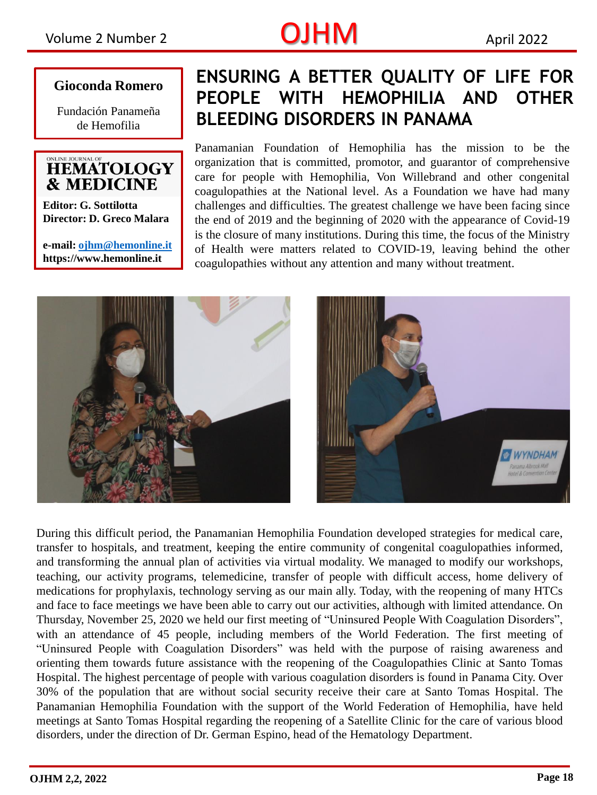## Volume 2 Number 2  $OJHM$  April 2022

**Gioconda Romero**

Fundación Panameña de Hemofilia

### LINE JOURNAL OF **HEMATOLOGY & MEDICINE**

**Editor: G. Sottilotta Director: D. Greco Malara**

**e-mail: [ojhm@hemonline.it](mailto:ojhm@hemonline.it) https://www.hemonline.it** 

## **ENSURING A BETTER QUALITY OF LIFE FOR PEOPLE WITH HEMOPHILIA AND OTHER BLEEDING DISORDERS IN PANAMA**

Panamanian Foundation of Hemophilia has the mission to be the organization that is committed, promotor, and guarantor of comprehensive care for people with Hemophilia, Von Willebrand and other congenital coagulopathies at the National level. As a Foundation we have had many challenges and difficulties. The greatest challenge we have been facing since the end of 2019 and the beginning of 2020 with the appearance of Covid-19 is the closure of many institutions. During this time, the focus of the Ministry of Health were matters related to COVID-19, leaving behind the other coagulopathies without any attention and many without treatment.





During this difficult period, the Panamanian Hemophilia Foundation developed strategies for medical care, transfer to hospitals, and treatment, keeping the entire community of congenital coagulopathies informed, and transforming the annual plan of activities via virtual modality. We managed to modify our workshops, teaching, our activity programs, telemedicine, transfer of people with difficult access, home delivery of medications for prophylaxis, technology serving as our main ally. Today, with the reopening of many HTCs and face to face meetings we have been able to carry out our activities, although with limited attendance. On Thursday, November 25, 2020 we held our first meeting of "Uninsured People With Coagulation Disorders", with an attendance of 45 people, including members of the World Federation. The first meeting of "Uninsured People with Coagulation Disorders" was held with the purpose of raising awareness and orienting them towards future assistance with the reopening of the Coagulopathies Clinic at Santo Tomas Hospital. The highest percentage of people with various coagulation disorders is found in Panama City. Over 30% of the population that are without social security receive their care at Santo Tomas Hospital. The Panamanian Hemophilia Foundation with the support of the World Federation of Hemophilia, have held meetings at Santo Tomas Hospital regarding the reopening of a Satellite Clinic for the care of various blood disorders, under the direction of Dr. German Espino, head of the Hematology Department.